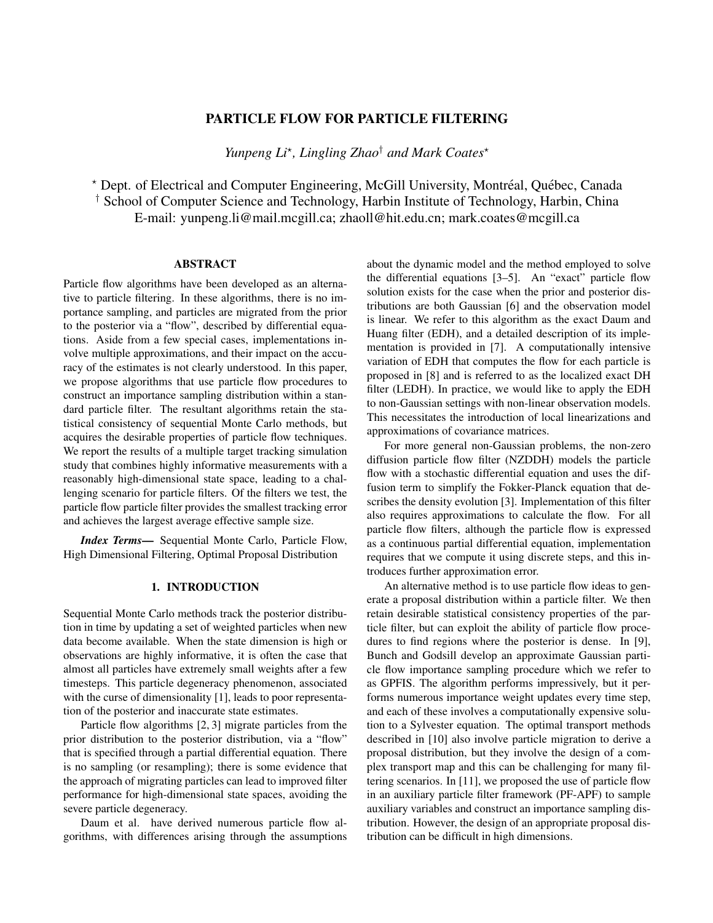# PARTICLE FLOW FOR PARTICLE FILTERING

*Yunpeng Li*? *, Lingling Zhao*† *and Mark Coates*?

\* Dept. of Electrical and Computer Engineering, McGill University, Montréal, Québec, Canada † School of Computer Science and Technology, Harbin Institute of Technology, Harbin, China E-mail: yunpeng.li@mail.mcgill.ca; zhaoll@hit.edu.cn; mark.coates@mcgill.ca

## **ABSTRACT**

Particle flow algorithms have been developed as an alternative to particle filtering. In these algorithms, there is no importance sampling, and particles are migrated from the prior to the posterior via a "flow", described by differential equations. Aside from a few special cases, implementations involve multiple approximations, and their impact on the accuracy of the estimates is not clearly understood. In this paper, we propose algorithms that use particle flow procedures to construct an importance sampling distribution within a standard particle filter. The resultant algorithms retain the statistical consistency of sequential Monte Carlo methods, but acquires the desirable properties of particle flow techniques. We report the results of a multiple target tracking simulation study that combines highly informative measurements with a reasonably high-dimensional state space, leading to a challenging scenario for particle filters. Of the filters we test, the particle flow particle filter provides the smallest tracking error and achieves the largest average effective sample size.

*Index Terms*— Sequential Monte Carlo, Particle Flow, High Dimensional Filtering, Optimal Proposal Distribution

### 1. INTRODUCTION

Sequential Monte Carlo methods track the posterior distribution in time by updating a set of weighted particles when new data become available. When the state dimension is high or observations are highly informative, it is often the case that almost all particles have extremely small weights after a few timesteps. This particle degeneracy phenomenon, associated with the curse of dimensionality [1], leads to poor representation of the posterior and inaccurate state estimates.

Particle flow algorithms [2, 3] migrate particles from the prior distribution to the posterior distribution, via a "flow" that is specified through a partial differential equation. There is no sampling (or resampling); there is some evidence that the approach of migrating particles can lead to improved filter performance for high-dimensional state spaces, avoiding the severe particle degeneracy.

Daum et al. have derived numerous particle flow algorithms, with differences arising through the assumptions about the dynamic model and the method employed to solve the differential equations [3–5]. An "exact" particle flow solution exists for the case when the prior and posterior distributions are both Gaussian [6] and the observation model is linear. We refer to this algorithm as the exact Daum and Huang filter (EDH), and a detailed description of its implementation is provided in [7]. A computationally intensive variation of EDH that computes the flow for each particle is proposed in [8] and is referred to as the localized exact DH filter (LEDH). In practice, we would like to apply the EDH to non-Gaussian settings with non-linear observation models. This necessitates the introduction of local linearizations and approximations of covariance matrices.

For more general non-Gaussian problems, the non-zero diffusion particle flow filter (NZDDH) models the particle flow with a stochastic differential equation and uses the diffusion term to simplify the Fokker-Planck equation that describes the density evolution [3]. Implementation of this filter also requires approximations to calculate the flow. For all particle flow filters, although the particle flow is expressed as a continuous partial differential equation, implementation requires that we compute it using discrete steps, and this introduces further approximation error.

An alternative method is to use particle flow ideas to generate a proposal distribution within a particle filter. We then retain desirable statistical consistency properties of the particle filter, but can exploit the ability of particle flow procedures to find regions where the posterior is dense. In [9], Bunch and Godsill develop an approximate Gaussian particle flow importance sampling procedure which we refer to as GPFIS. The algorithm performs impressively, but it performs numerous importance weight updates every time step, and each of these involves a computationally expensive solution to a Sylvester equation. The optimal transport methods described in [10] also involve particle migration to derive a proposal distribution, but they involve the design of a complex transport map and this can be challenging for many filtering scenarios. In [11], we proposed the use of particle flow in an auxiliary particle filter framework (PF-APF) to sample auxiliary variables and construct an importance sampling distribution. However, the design of an appropriate proposal distribution can be difficult in high dimensions.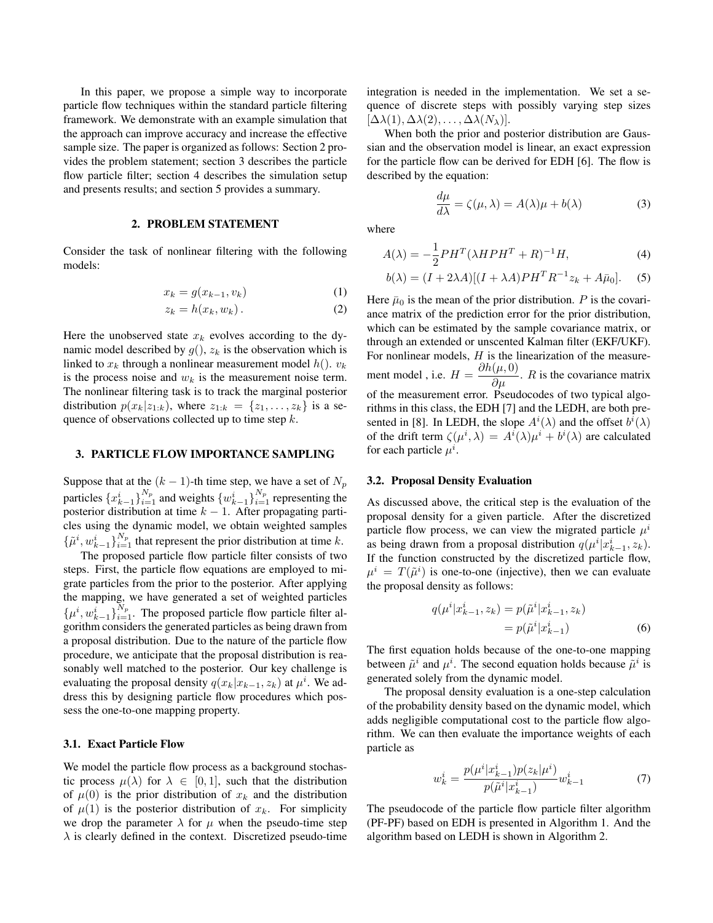In this paper, we propose a simple way to incorporate particle flow techniques within the standard particle filtering framework. We demonstrate with an example simulation that the approach can improve accuracy and increase the effective sample size. The paper is organized as follows: Section 2 provides the problem statement; section 3 describes the particle flow particle filter; section 4 describes the simulation setup and presents results; and section 5 provides a summary.

### 2. PROBLEM STATEMENT

Consider the task of nonlinear filtering with the following models:

$$
x_k = g(x_{k-1}, v_k) \tag{1}
$$

$$
z_k = h(x_k, w_k). \tag{2}
$$

Here the unobserved state  $x_k$  evolves according to the dynamic model described by  $g($ ),  $z_k$  is the observation which is linked to  $x_k$  through a nonlinear measurement model  $h()$ .  $v_k$ is the process noise and  $w_k$  is the measurement noise term. The nonlinear filtering task is to track the marginal posterior distribution  $p(x_k|z_{1:k})$ , where  $z_{1:k} = \{z_1, \ldots, z_k\}$  is a sequence of observations collected up to time step  $k$ .

### 3. PARTICLE FLOW IMPORTANCE SAMPLING

Suppose that at the  $(k - 1)$ -th time step, we have a set of  $N_p$ particles  $\{x_{k-1}^i\}_{i=1}^{N_p}$  and weights  $\{w_{k-1}^i\}_{i=1}^{N_p}$  representing the posterior distribution at time  $k - 1$ . After propagating particles using the dynamic model, we obtain weighted samples  $\{\tilde{\mu}^i, w_{k-1}^i\}_{i=1}^{N_p}$  that represent the prior distribution at time k.

The proposed particle flow particle filter consists of two steps. First, the particle flow equations are employed to migrate particles from the prior to the posterior. After applying the mapping, we have generated a set of weighted particles  $\{\mu^i, w_{k-1}^i\}_{i=1}^{N_p}$ . The proposed particle flow particle filter algorithm considers the generated particles as being drawn from a proposal distribution. Due to the nature of the particle flow procedure, we anticipate that the proposal distribution is reasonably well matched to the posterior. Our key challenge is evaluating the proposal density  $q(x_k|x_{k-1}, z_k)$  at  $\mu^i$ . We address this by designing particle flow procedures which possess the one-to-one mapping property.

### 3.1. Exact Particle Flow

We model the particle flow process as a background stochastic process  $\mu(\lambda)$  for  $\lambda \in [0,1]$ , such that the distribution of  $\mu(0)$  is the prior distribution of  $x_k$  and the distribution of  $\mu(1)$  is the posterior distribution of  $x_k$ . For simplicity we drop the parameter  $\lambda$  for  $\mu$  when the pseudo-time step  $\lambda$  is clearly defined in the context. Discretized pseudo-time integration is needed in the implementation. We set a sequence of discrete steps with possibly varying step sizes  $[\Delta\lambda(1), \Delta\lambda(2), \ldots, \Delta\lambda(N_{\lambda})].$ 

When both the prior and posterior distribution are Gaussian and the observation model is linear, an exact expression for the particle flow can be derived for EDH [6]. The flow is described by the equation:

$$
\frac{d\mu}{d\lambda} = \zeta(\mu, \lambda) = A(\lambda)\mu + b(\lambda)
$$
 (3)

where

$$
A(\lambda) = -\frac{1}{2}PH^{T}(\lambda HPH^{T} + R)^{-1}H,
$$
\n(4)

$$
b(\lambda) = (I + 2\lambda A)[(I + \lambda A)PHT R-1 zk + A\bar{\mu}_0].
$$
 (5)

Here  $\bar{\mu}_0$  is the mean of the prior distribution. P is the covariance matrix of the prediction error for the prior distribution, which can be estimated by the sample covariance matrix, or through an extended or unscented Kalman filter (EKF/UKF). For nonlinear models,  $H$  is the linearization of the measurement model, i.e.  $H = \frac{\partial h(\mu, 0)}{\partial \mu}$ . R is the covariance matrix of the measurement error. Pseudocodes of two typical algorithms in this class, the EDH [7] and the LEDH, are both presented in [8]. In LEDH, the slope  $A^{i}(\lambda)$  and the offset  $b^{i}(\lambda)$ of the drift term  $\zeta(\mu^i, \lambda) = A^i(\lambda)\mu^i + b^i(\lambda)$  are calculated for each particle  $\mu^i$ .

### 3.2. Proposal Density Evaluation

As discussed above, the critical step is the evaluation of the proposal density for a given particle. After the discretized particle flow process, we can view the migrated particle  $\mu^i$ as being drawn from a proposal distribution  $q(\mu^i|x_{k-1}^i, z_k)$ . If the function constructed by the discretized particle flow,  $\mu^{i} = T(\tilde{\mu}^{i})$  is one-to-one (injective), then we can evaluate the proposal density as follows:

$$
q(\mu^{i}|x_{k-1}^{i}, z_{k}) = p(\tilde{\mu}^{i}|x_{k-1}^{i}, z_{k})
$$
  
=  $p(\tilde{\mu}^{i}|x_{k-1}^{i})$  (6)

The first equation holds because of the one-to-one mapping between  $\tilde{\mu}^i$  and  $\mu^i$ . The second equation holds because  $\tilde{\mu}^i$  is generated solely from the dynamic model.

The proposal density evaluation is a one-step calculation of the probability density based on the dynamic model, which adds negligible computational cost to the particle flow algorithm. We can then evaluate the importance weights of each particle as

$$
w_k^i = \frac{p(\mu^i | x_{k-1}^i) p(z_k | \mu^i)}{p(\tilde{\mu}^i | x_{k-1}^i)} w_{k-1}^i
$$
 (7)

The pseudocode of the particle flow particle filter algorithm (PF-PF) based on EDH is presented in Algorithm 1. And the algorithm based on LEDH is shown in Algorithm 2.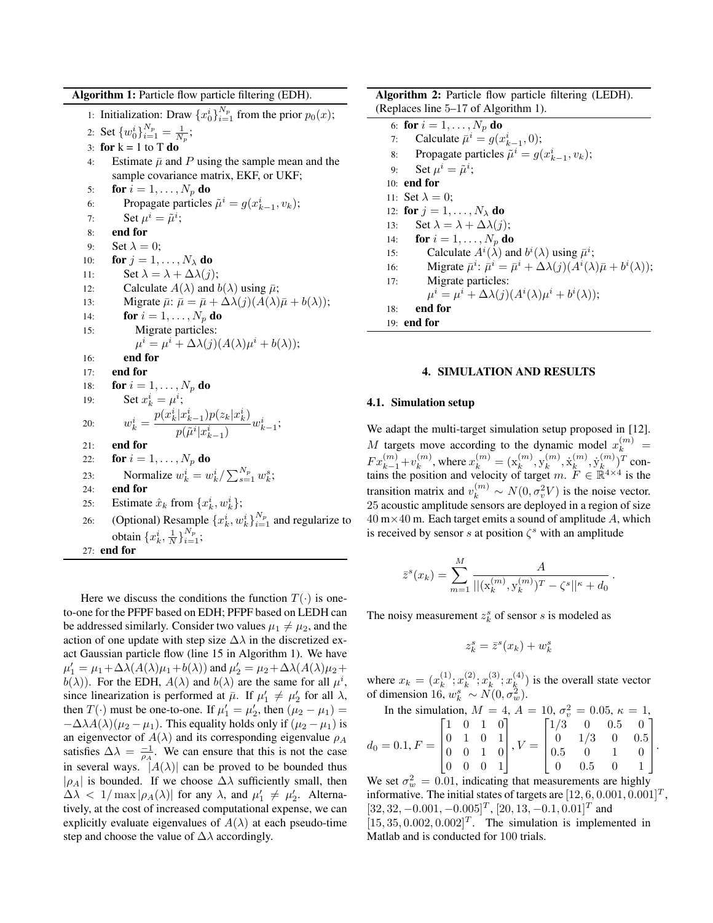Algorithm 1: Particle flow particle filtering (EDH).

1: Initialization: Draw  $\{x_0^i\}_{i=1}^{N_p}$  from the prior  $p_0(x)$ ; 2: Set  $\{w_0^i\}_{i=1}^{N_p} = \frac{1}{N_p};$ 3: for  $k = 1$  to T do 4: Estimate  $\bar{\mu}$  and P using the sample mean and the sample covariance matrix, EKF, or UKF; 5: for  $i = 1, \ldots, N_p$  do 6: Propagate particles  $\tilde{\mu}^i = g(x_{k-1}^i, v_k)$ ; 7: Set  $\mu^i = \tilde{\mu}^i$ ; 8: end for 9: Set  $\lambda = 0$ : 10: **for**  $j = 1, \ldots, N_{\lambda}$  do 11: Set  $\lambda = \lambda + \Delta \lambda(j);$ 12: Calculate  $A(\lambda)$  and  $b(\lambda)$  using  $\bar{\mu}$ ; 13: Migrate  $\bar{\mu}$ :  $\bar{\mu} = \bar{\mu} + \Delta \lambda(j) (A(\lambda)\bar{\mu} + b(\lambda));$ 14: **for**  $i = 1, \ldots, N_p$  do 15: Migrate particles:  $\mu^{i} = \mu^{i} + \Delta \lambda(j) (A(\lambda)\mu^{i} + b(\lambda));$ 16: end for 17: end for 18: **for**  $i = 1, ..., N_p$  **do** 19: Set  $x_k^i = \mu^i$ ; 20:  $w_k^i = \frac{p(x_k^i | x_{k-1}^i)p(z_k | x_k^i)}{p(\tilde{u}^i | x_i^i)}$  $\frac{p(\tilde{\mu}^{i}|x_{k-1}^{i})P(z_{k}|x_{k})}{p(\tilde{\mu}^{i}|x_{k-1}^{i})}w_{k-1}^{i};$ 21: end for 22: **for**  $i = 1, ..., N_p$  **do** 23: Normalize  $w_k^i = w_k^i / \sum_{s=1}^{N_p} w_k^s$ ; 24: end for 25: Estimate  $\hat{x}_k$  from  $\{x_k^i, w_k^i\}$ ;  $_k, w_k$ 26: (Optional) Resample  $\{x_k^i, w_k^i\}_{i=1}^{N_p}$  and regularize to obtain  $\{x_k^i, \frac{1}{N}\}_{i=1}^{N_p}$ ; 27: end for

Here we discuss the conditions the function  $T(\cdot)$  is oneto-one for the PFPF based on EDH; PFPF based on LEDH can be addressed similarly. Consider two values  $\mu_1 \neq \mu_2$ , and the action of one update with step size  $\Delta\lambda$  in the discretized exact Gaussian particle flow (line 15 in Algorithm 1). We have  $\mu'_1 = \mu_1 + \Delta\lambda(A(\lambda)\mu_1 + b(\lambda))$  and  $\mu'_2 = \mu_2 + \Delta\lambda(A(\lambda)\mu_2 + b(\lambda))$  $b(\lambda)$ ). For the EDH,  $A(\lambda)$  and  $b(\lambda)$  are the same for all  $\mu^{i}$ , since linearization is performed at  $\bar{\mu}$ . If  $\mu'_1 \neq \mu'_2$  for all  $\lambda$ , then  $T(\cdot)$  must be one-to-one. If  $\mu'_1 = \mu'_2$ , then  $(\mu_2 - \mu_1) =$  $-\Delta\lambda A(\lambda)(\mu_2 - \mu_1)$ . This equality holds only if  $(\mu_2 - \mu_1)$  is an eigenvector of  $A(\lambda)$  and its corresponding eigenvalue  $\rho_A$ satisfies  $\Delta \lambda = \frac{-1}{\rho_A}$ . We can ensure that this is not the case in several ways.  $|A(\lambda)|$  can be proved to be bounded thus  $|\rho_A|$  is bounded. If we choose  $\Delta\lambda$  sufficiently small, then  $\Delta \lambda$  < 1/max  $|\rho_A(\lambda)|$  for any  $\lambda$ , and  $\mu'_1 \neq \mu'_2$ . Alternatively, at the cost of increased computational expense, we can explicitly evaluate eigenvalues of  $A(\lambda)$  at each pseudo-time step and choose the value of  $\Delta\lambda$  accordingly.

Algorithm 2: Particle flow particle filtering (LEDH). (Replaces line 5–17 of Algorithm 1).

| 6: <b>for</b> $i = 1, , N_p$ <b>do</b>  |                                                                                                                 |
|-----------------------------------------|-----------------------------------------------------------------------------------------------------------------|
| 7:                                      | Calculate $\bar{\mu}^i = g(x_{k-1}^i, 0)$ ;                                                                     |
|                                         | 8: Propagate particles $\tilde{\mu}^i = g(x_{k-1}^i, v_k);$                                                     |
| Set $\mu^i = \tilde{\mu}^i$ ;<br>9:     |                                                                                                                 |
| 10: end for                             |                                                                                                                 |
| 11: Set $\lambda = 0$ :                 |                                                                                                                 |
| 12: for $j = 1, \ldots, N_{\lambda}$ do |                                                                                                                 |
| 13:                                     | Set $\lambda = \lambda + \Delta \lambda(i);$                                                                    |
| for $i=1,\ldots,N_p$ do<br>14:          |                                                                                                                 |
| 15:                                     | Calculate $A^{i}(\lambda)$ and $b^{i}(\lambda)$ using $\bar{\mu}^{i}$ ;                                         |
| 16:                                     | Migrate $\bar{\mu}^i$ : $\bar{\mu}^i = \bar{\mu}^i + \Delta \lambda(j) (A^i(\lambda)\bar{\mu} + b^i(\lambda));$ |
| 17:                                     | Migrate particles:                                                                                              |
|                                         | $\mu^{i} = \mu^{i} + \Delta \lambda(j) (A^{i}(\lambda)\mu^{i} + b^{i}(\lambda));$                               |
| end for<br>18:                          |                                                                                                                 |
| $19:$ end for                           |                                                                                                                 |

### 4. SIMULATION AND RESULTS

### 4.1. Simulation setup

We adapt the multi-target simulation setup proposed in [12]. M targets move according to the dynamic model  $x_k^{(m)} =$  $Fx_{k-1}^{(m)}+v_k^{(m)}$  $k^{(m)}$ , where  $x_k^{(m)} = (\mathbf{x}_k^{(m)}, \mathbf{y}_k^{(m)})$  $_{k}^{\left( m\right) },\dot{\mathrm{x}}_{k}^{\left( m\right) }$  $_k^{(m)}, \dot{\mathrm{y}}_k^{(m)}$  $\binom{m}{k}$ <sup>T</sup> contains the position and velocity of target m.  $F \in \mathbb{R}^{4 \times 4}$  is the transition matrix and  $v_k^{(m)} \sim N(0, \sigma_v^2 V)$  is the noise vector. 25 acoustic amplitude sensors are deployed in a region of size  $40 \text{ m} \times 40 \text{ m}$ . Each target emits a sound of amplitude A, which is received by sensor s at position  $\zeta^s$  with an amplitude

$$
\bar{z}^{s}(x_{k}) = \sum_{m=1}^{M} \frac{A}{||(\mathbf{x}_{k}^{(m)}, \mathbf{y}_{k}^{(m)})^{T} - \zeta^{s}||^{\kappa} + d_{0}}.
$$

The noisy measurement  $z_k^s$  of sensor s is modeled as

$$
z_k^s = \bar{z}^s(x_k) + w_k^s
$$

where  $x_k = (x_k^{(1)})$  $\binom{(1)}{k}$ ;  $x_k^{(2)}$  $\binom{2}{k}; x_k^{(3)}$  $k^{(3)}; x_k^{(4)}$  $\binom{4}{k}$  is the overall state vector of dimension 16,  $w_k^s \sim N(0, \sigma_w^2)$ .

In the simulation, 
$$
M = 4
$$
,  $A = 10$ ,  $\sigma_v^2 = 0.05$ ,  $\kappa = 1$ ,  
\n $d_0 = 0.1$ ,  $F = \begin{bmatrix} 1 & 0 & 1 & 0 \\ 0 & 1 & 0 & 1 \\ 0 & 0 & 1 & 0 \\ 0 & 0 & 0 & 1 \end{bmatrix}$ ,  $V = \begin{bmatrix} 1/3 & 0 & 0.5 & 0 \\ 0 & 1/3 & 0 & 0.5 \\ 0.5 & 0 & 1 & 0 \\ 0 & 0.5 & 0 & 1 \end{bmatrix}$ .

We set  $\sigma_w^2 = 0.01$ , indicating that measurements are highly informative. The initial states of targets are  $[12, 6, 0.001, 0.001]^T$ ,  $[32, 32, -0.001, -0.005]^T$ ,  $[20, 13, -0.1, 0.01]^T$  and  $[15, 35, 0.002, 0.002]^{T}$ . The simulation is implemented in Matlab and is conducted for 100 trials.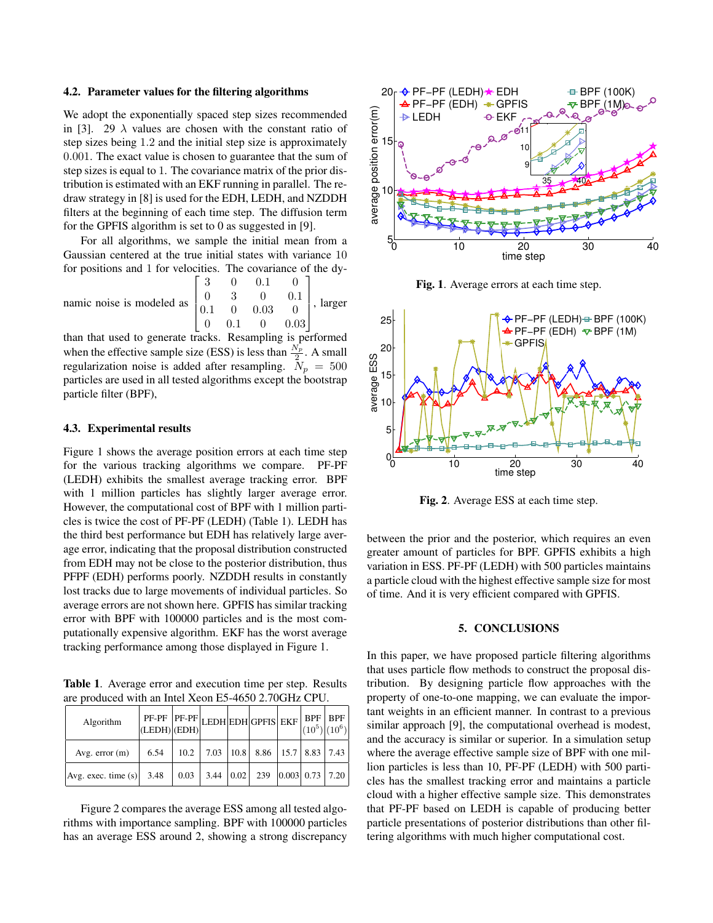#### 4.2. Parameter values for the filtering algorithms

We adopt the exponentially spaced step sizes recommended in [3]. 29  $\lambda$  values are chosen with the constant ratio of step sizes being 1.2 and the initial step size is approximately 0.001. The exact value is chosen to guarantee that the sum of step sizes is equal to 1. The covariance matrix of the prior distribution is estimated with an EKF running in parallel. The redraw strategy in [8] is used for the EDH, LEDH, and NZDDH filters at the beginning of each time step. The diffusion term for the GPFIS algorithm is set to 0 as suggested in [9].

For all algorithms, we sample the initial mean from a Gaussian centered at the true initial states with variance 10 for positions and 1 for velocities. The covariance of the dy-

namic noise is modeled as  $\lceil$  $\overline{1}$  $0.1$  $\overline{1}$ 3 0 0.1 0 0 3 0 0.1  $0.03 \t 0$ 0 0.1 0 0.03 1  $\mathbf{I}$  $\mathbf{I}$  $\mathbf{I}$ , larger

than that used to generate tracks. Resampling is performed when the effective sample size (ESS) is less than  $\frac{N_p}{2}$ . A small regularization noise is added after resampling.  $N_p = 500$ particles are used in all tested algorithms except the bootstrap particle filter (BPF),

### 4.3. Experimental results

Figure 1 shows the average position errors at each time step for the various tracking algorithms we compare. PF-PF (LEDH) exhibits the smallest average tracking error. BPF with 1 million particles has slightly larger average error. However, the computational cost of BPF with 1 million particles is twice the cost of PF-PF (LEDH) (Table 1). LEDH has the third best performance but EDH has relatively large average error, indicating that the proposal distribution constructed from EDH may not be close to the posterior distribution, thus PFPF (EDH) performs poorly. NZDDH results in constantly lost tracks due to large movements of individual particles. So average errors are not shown here. GPFIS has similar tracking error with BPF with 100000 particles and is the most computationally expensive algorithm. EKF has the worst average tracking performance among those displayed in Figure 1.

Table 1. Average error and execution time per step. Results are produced with an Intel Xeon E5-4650 2.70GHz CPU.

| Algorithm                  | PF-PF PF-PF LEDH EDH GPFIS EKF BPF BPF BPF (LEDH) (EDH)<br>$ $ (LEDH) $ $ (EDH) $ $ |      |  |                                                  |  |  |
|----------------------------|-------------------------------------------------------------------------------------|------|--|--------------------------------------------------|--|--|
| Avg. $error(m)$            | 6.54                                                                                |      |  | $10.2$   7.03   10.8   8.86   15.7   8.83   7.43 |  |  |
| Avg. exec. time $(s)$ 3.48 |                                                                                     | 0.03 |  | $3.44$   0.02   239   0.003   0.73   7.20        |  |  |

Figure 2 compares the average ESS among all tested algorithms with importance sampling. BPF with 100000 particles has an average ESS around 2, showing a strong discrepancy



Fig. 1. Average errors at each time step.



Fig. 2. Average ESS at each time step.

between the prior and the posterior, which requires an even greater amount of particles for BPF. GPFIS exhibits a high variation in ESS. PF-PF (LEDH) with 500 particles maintains a particle cloud with the highest effective sample size for most of time. And it is very efficient compared with GPFIS.

### 5. CONCLUSIONS

In this paper, we have proposed particle filtering algorithms that uses particle flow methods to construct the proposal distribution. By designing particle flow approaches with the property of one-to-one mapping, we can evaluate the important weights in an efficient manner. In contrast to a previous similar approach [9], the computational overhead is modest, and the accuracy is similar or superior. In a simulation setup where the average effective sample size of BPF with one million particles is less than 10, PF-PF (LEDH) with 500 particles has the smallest tracking error and maintains a particle cloud with a higher effective sample size. This demonstrates that PF-PF based on LEDH is capable of producing better particle presentations of posterior distributions than other filtering algorithms with much higher computational cost.